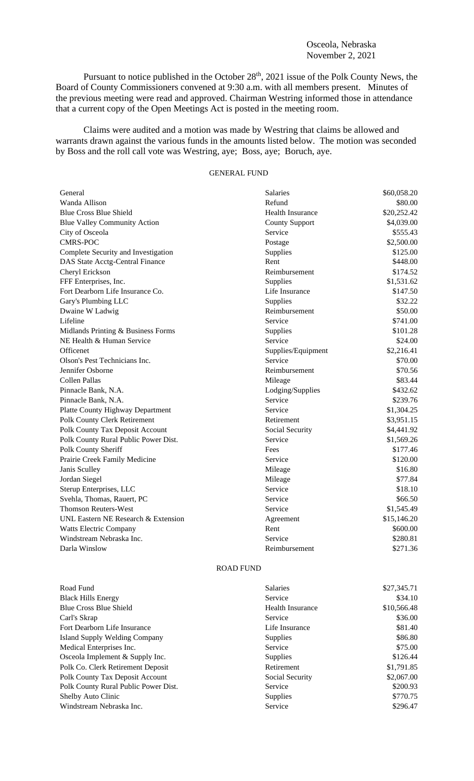## Osceola, Nebraska November 2, 2021

Pursuant to notice published in the October 28<sup>th</sup>, 2021 issue of the Polk County News, the Board of County Commissioners convened at 9:30 a.m. with all members present. Minutes of the previous meeting were read and approved. Chairman Westring informed those in attendance that a current copy of the Open Meetings Act is posted in the meeting room.

Claims were audited and a motion was made by Westring that claims be allowed and warrants drawn against the various funds in the amounts listed below. The motion was seconded by Boss and the roll call vote was Westring, aye; Boss, aye; Boruch, aye.

## GENERAL FUND

| General                                 | <b>Salaries</b>         | \$60,058.20 |
|-----------------------------------------|-------------------------|-------------|
| Wanda Allison                           | Refund                  | \$80.00     |
| <b>Blue Cross Blue Shield</b>           | <b>Health Insurance</b> | \$20,252.42 |
| <b>Blue Valley Community Action</b>     | <b>County Support</b>   | \$4,039.00  |
| City of Osceola                         | Service                 | \$555.43    |
| <b>CMRS-POC</b>                         | Postage                 | \$2,500.00  |
| Complete Security and Investigation     | Supplies                | \$125.00    |
| DAS State Acctg-Central Finance         | Rent                    | \$448.00    |
| Cheryl Erickson                         | Reimbursement           | \$174.52    |
| FFF Enterprises, Inc.                   | Supplies                | \$1,531.62  |
| Fort Dearborn Life Insurance Co.        | Life Insurance          | \$147.50    |
| Gary's Plumbing LLC                     | Supplies                | \$32.22     |
| Dwaine W Ladwig                         | Reimbursement           | \$50.00     |
| Lifeline                                | Service                 | \$741.00    |
| Midlands Printing & Business Forms      | Supplies                | \$101.28    |
| NE Health & Human Service               | Service                 | \$24.00     |
| Officenet                               | Supplies/Equipment      | \$2,216.41  |
| Olson's Pest Technicians Inc.           | Service                 | \$70.00     |
| Jennifer Osborne                        | Reimbursement           | \$70.56     |
| Collen Pallas                           | Mileage                 | \$83.44     |
| Pinnacle Bank, N.A.                     | Lodging/Supplies        | \$432.62    |
| Pinnacle Bank, N.A.                     | Service                 | \$239.76    |
| <b>Platte County Highway Department</b> | Service                 | \$1,304.25  |
| Polk County Clerk Retirement            | Retirement              | \$3,951.15  |
| <b>Polk County Tax Deposit Account</b>  | Social Security         | \$4,441.92  |
| Polk County Rural Public Power Dist.    | Service                 | \$1,569.26  |
| Polk County Sheriff                     | Fees                    | \$177.46    |
| Prairie Creek Family Medicine           | Service                 | \$120.00    |
| Janis Sculley                           | Mileage                 | \$16.80     |
| Jordan Siegel                           | Mileage                 | \$77.84     |
| Sterup Enterprises, LLC                 | Service                 | \$18.10     |
| Svehla, Thomas, Rauert, PC              | Service                 | \$66.50     |
| <b>Thomson Reuters-West</b>             | Service                 | \$1,545.49  |
| UNL Eastern NE Research & Extension     | Agreement               | \$15,146.20 |
| Watts Electric Company                  | Rent                    | \$600.00    |
| Windstream Nebraska Inc.                | Service                 | \$280.81    |
| Darla Winslow                           | Reimbursement           | \$271.36    |

## ROAD FUND

| Road Fund                            | <b>Salaries</b>         | \$27,345.71 |
|--------------------------------------|-------------------------|-------------|
| <b>Black Hills Energy</b>            | Service                 | \$34.10     |
| <b>Blue Cross Blue Shield</b>        | <b>Health Insurance</b> | \$10,566.48 |
| Carl's Skrap                         | Service                 | \$36.00     |
| Fort Dearborn Life Insurance         | Life Insurance          | \$81.40     |
| Island Supply Welding Company        | <b>Supplies</b>         | \$86.80     |
| Medical Enterprises Inc.             | Service                 | \$75.00     |
| Osceola Implement & Supply Inc.      | <b>Supplies</b>         | \$126.44    |
| Polk Co. Clerk Retirement Deposit    | Retirement              | \$1,791.85  |
| Polk County Tax Deposit Account      | Social Security         | \$2,067.00  |
| Polk County Rural Public Power Dist. | Service                 | \$200.93    |
| Shelby Auto Clinic                   | <b>Supplies</b>         | \$770.75    |
| Windstream Nebraska Inc.             | Service                 | \$296.47    |